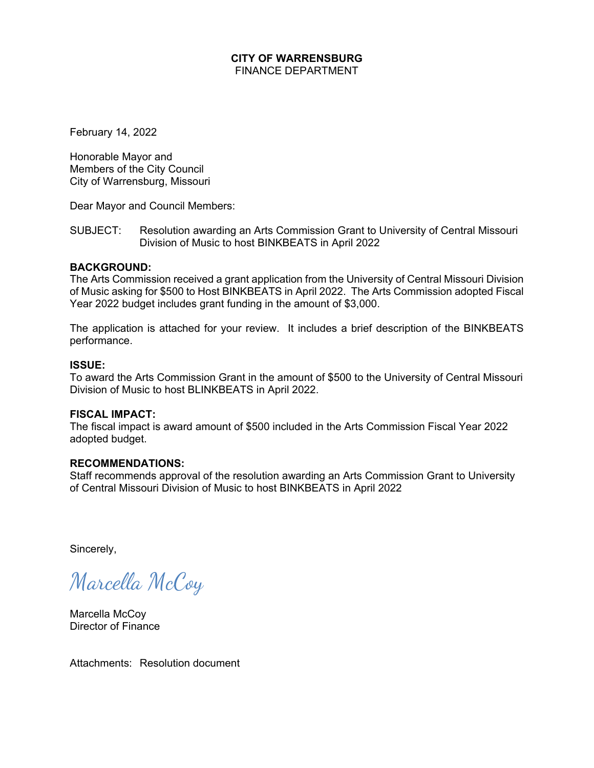#### **CITY OF WARRENSBURG**  FINANCE DEPARTMENT

February 14, 2022

Honorable Mayor and Members of the City Council City of Warrensburg, Missouri

Dear Mayor and Council Members:

SUBJECT: Resolution awarding an Arts Commission Grant to University of Central Missouri Division of Music to host BINKBEATS in April 2022

#### **BACKGROUND:**

The Arts Commission received a grant application from the University of Central Missouri Division of Music asking for \$500 to Host BINKBEATS in April 2022. The Arts Commission adopted Fiscal Year 2022 budget includes grant funding in the amount of \$3,000.

The application is attached for your review. It includes a brief description of the BINKBEATS performance.

#### **ISSUE:**

To award the Arts Commission Grant in the amount of \$500 to the University of Central Missouri Division of Music to host BLINKBEATS in April 2022.

#### **FISCAL IMPACT:**

The fiscal impact is award amount of \$500 included in the Arts Commission Fiscal Year 2022 adopted budget.

#### **RECOMMENDATIONS:**

Staff recommends approval of the resolution awarding an Arts Commission Grant to University of Central Missouri Division of Music to host BINKBEATS in April 2022

Sincerely,

Marcella McCoy

Marcella McCoy Director of Finance

Attachments: Resolution document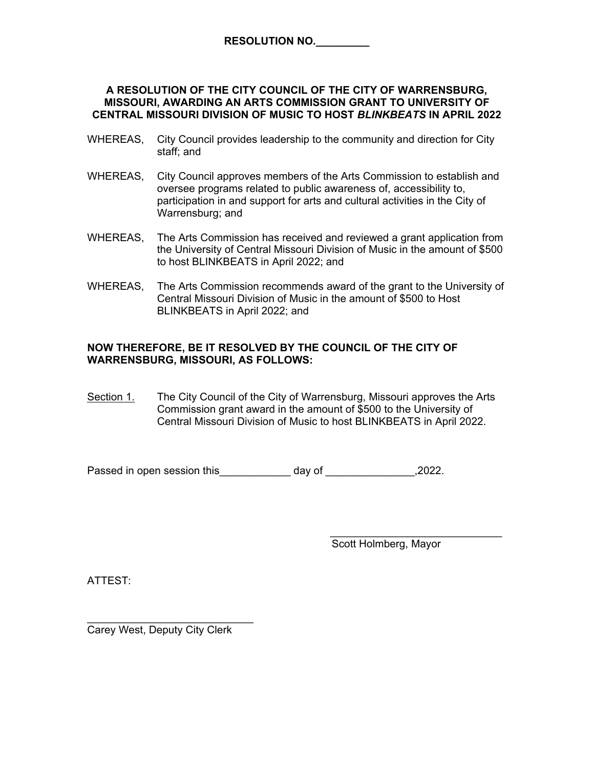#### **A RESOLUTION OF THE CITY COUNCIL OF THE CITY OF WARRENSBURG, MISSOURI, AWARDING AN ARTS COMMISSION GRANT TO UNIVERSITY OF CENTRAL MISSOURI DIVISION OF MUSIC TO HOST** *BLINKBEATS* **IN APRIL 2022**

- WHEREAS, City Council provides leadership to the community and direction for City staff; and
- WHEREAS, City Council approves members of the Arts Commission to establish and oversee programs related to public awareness of, accessibility to, participation in and support for arts and cultural activities in the City of Warrensburg; and
- WHEREAS, The Arts Commission has received and reviewed a grant application from the University of Central Missouri Division of Music in the amount of \$500 to host BLINKBEATS in April 2022; and
- WHEREAS, The Arts Commission recommends award of the grant to the University of Central Missouri Division of Music in the amount of \$500 to Host BLINKBEATS in April 2022; and

#### **NOW THEREFORE, BE IT RESOLVED BY THE COUNCIL OF THE CITY OF WARRENSBURG, MISSOURI, AS FOLLOWS:**

Section 1. The City Council of the City of Warrensburg, Missouri approves the Arts Commission grant award in the amount of \$500 to the University of Central Missouri Division of Music to host BLINKBEATS in April 2022.

 $\frac{1}{\sqrt{2}}$  ,  $\frac{1}{\sqrt{2}}$  ,  $\frac{1}{\sqrt{2}}$  ,  $\frac{1}{\sqrt{2}}$  ,  $\frac{1}{\sqrt{2}}$  ,  $\frac{1}{\sqrt{2}}$  ,  $\frac{1}{\sqrt{2}}$  ,  $\frac{1}{\sqrt{2}}$  ,  $\frac{1}{\sqrt{2}}$  ,  $\frac{1}{\sqrt{2}}$  ,  $\frac{1}{\sqrt{2}}$  ,  $\frac{1}{\sqrt{2}}$  ,  $\frac{1}{\sqrt{2}}$  ,  $\frac{1}{\sqrt{2}}$  ,  $\frac{1}{\sqrt{2}}$ 

Passed in open session this day of the settle open session this day of the settle settle set of the set of the set of the set of the set of the set of the set of the set of the set of the set of the set of the set of the s

Scott Holmberg, Mayor

ATTEST:

 $\mathcal{L}=\mathcal{L}=\mathcal{L}=\mathcal{L}=\mathcal{L}=\mathcal{L}=\mathcal{L}=\mathcal{L}=\mathcal{L}=\mathcal{L}=\mathcal{L}=\mathcal{L}=\mathcal{L}=\mathcal{L}=\mathcal{L}=\mathcal{L}=\mathcal{L}=\mathcal{L}=\mathcal{L}=\mathcal{L}=\mathcal{L}=\mathcal{L}=\mathcal{L}=\mathcal{L}=\mathcal{L}=\mathcal{L}=\mathcal{L}=\mathcal{L}=\mathcal{L}=\mathcal{L}=\mathcal{L}=\mathcal{L}=\mathcal{L}=\mathcal{L}=\mathcal{L}=\mathcal{L}=\mathcal{$ Carey West, Deputy City Clerk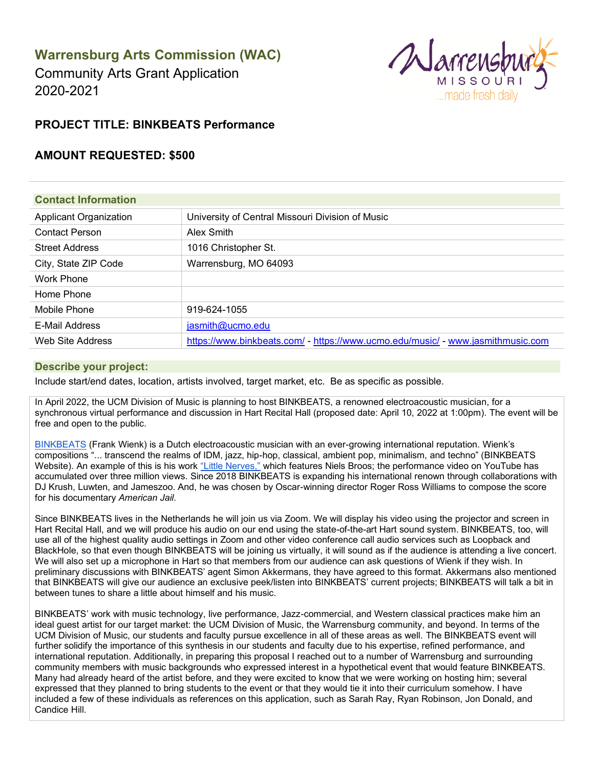# **Warrensburg Arts Commission (WAC)**

Community Arts Grant Application 2020-2021



# **PROJECT TITLE: BINKBEATS Performance**

### **AMOUNT REQUESTED: \$500**

| <b>Contact Information</b>    |                                                                                 |  |
|-------------------------------|---------------------------------------------------------------------------------|--|
| <b>Applicant Organization</b> | University of Central Missouri Division of Music                                |  |
| <b>Contact Person</b>         | Alex Smith                                                                      |  |
| <b>Street Address</b>         | 1016 Christopher St.                                                            |  |
| City, State ZIP Code          | Warrensburg, MO 64093                                                           |  |
| <b>Work Phone</b>             |                                                                                 |  |
| Home Phone                    |                                                                                 |  |
| Mobile Phone                  | 919-624-1055                                                                    |  |
| <b>E-Mail Address</b>         | jasmith@ucmo.edu                                                                |  |
| Web Site Address              | https://www.binkbeats.com/ - https://www.ucmo.edu/music/ - www.jasmithmusic.com |  |

#### **Describe your project:**

Include start/end dates, location, artists involved, target market, etc. Be as specific as possible.

In April 2022, the UCM Division of Music is planning to host BINKBEATS, a renowned electroacoustic musician, for a synchronous virtual performance and discussion in Hart Recital Hall (proposed date: April 10, 2022 at 1:00pm). The event will be free and open to the public.

[BINKBEATS](https://www.binkbeats.com/) (Frank Wienk) is a Dutch electroacoustic musician with an ever-growing international reputation. Wienk's compositions "... transcend the realms of IDM, jazz, hip-hop, classical, ambient pop, minimalism, and techno" (BINKBEATS Website). An example of this is his work "Little Nerves," which features Niels Broos; the performance video on YouTube has accumulated over three million views. Since 2018 BINKBEATS is expanding his international renown through collaborations with DJ Krush, Luwten, and Jameszoo. And, he was chosen by Oscar-winning director Roger Ross Williams to compose the score for his documentary *American Jail*.

Since BINKBEATS lives in the Netherlands he will join us via Zoom. We will display his video using the projector and screen in Hart Recital Hall, and we will produce his audio on our end using the state-of-the-art Hart sound system. BINKBEATS, too, will use all of the highest quality audio settings in Zoom and other video conference call audio services such as Loopback and BlackHole, so that even though BINKBEATS will be joining us virtually, it will sound as if the audience is attending a live concert. We will also set up a microphone in Hart so that members from our audience can ask questions of Wienk if they wish. In preliminary discussions with BINKBEATS' agent Simon Akkermans, they have agreed to this format. Akkermans also mentioned that BINKBEATS will give our audience an exclusive peek/listen into BINKBEATS' current projects; BINKBEATS will talk a bit in between tunes to share a little about himself and his music.

BINKBEATS' work with music technology, live performance, Jazz-commercial, and Western classical practices make him an ideal guest artist for our target market: the UCM Division of Music, the Warrensburg community, and beyond. In terms of the UCM Division of Music, our students and faculty pursue excellence in all of these areas as well. The BINKBEATS event will further solidify the importance of this synthesis in our students and faculty due to his expertise, refined performance, and international reputation. Additionally, in preparing this proposal I reached out to a number of Warrensburg and surrounding community members with music backgrounds who expressed interest in a hypothetical event that would feature BINKBEATS. Many had already heard of the artist before, and they were excited to know that we were working on hosting him; several expressed that they planned to bring students to the event or that they would tie it into their curriculum somehow. I have included a few of these individuals as references on this application, such as Sarah Ray, Ryan Robinson, Jon Donald, and Candice Hill.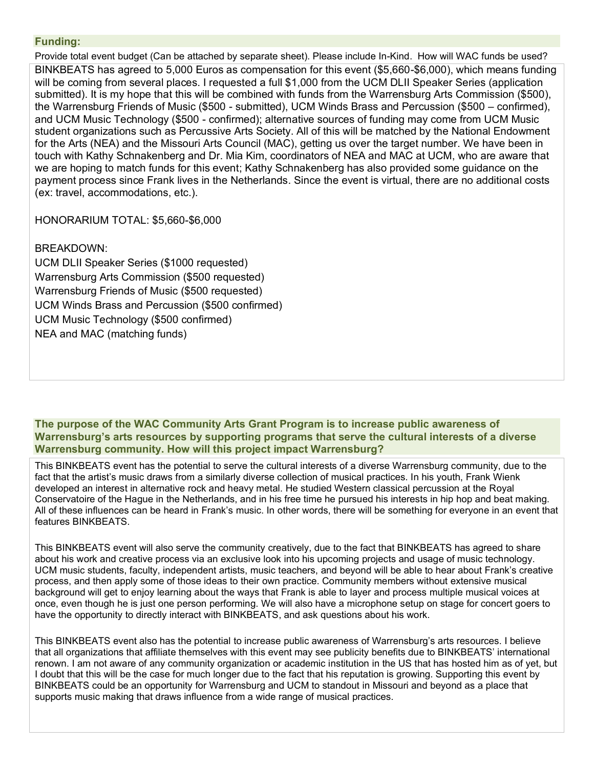#### **Funding:**

Provide total event budget (Can be attached by separate sheet). Please include In-Kind. How will WAC funds be used? BINKBEATS has agreed to 5,000 Euros as compensation for this event (\$5,660-\$6,000), which means funding will be coming from several places. I requested a full \$1,000 from the UCM DLII Speaker Series (application submitted). It is my hope that this will be combined with funds from the Warrensburg Arts Commission (\$500), the Warrensburg Friends of Music (\$500 - submitted), UCM Winds Brass and Percussion (\$500 – confirmed), and UCM Music Technology (\$500 - confirmed); alternative sources of funding may come from UCM Music student organizations such as Percussive Arts Society. All of this will be matched by the National Endowment for the Arts (NEA) and the Missouri Arts Council (MAC), getting us over the target number. We have been in touch with Kathy Schnakenberg and Dr. Mia Kim, coordinators of NEA and MAC at UCM, who are aware that we are hoping to match funds for this event; Kathy Schnakenberg has also provided some guidance on the payment process since Frank lives in the Netherlands. Since the event is virtual, there are no additional costs (ex: travel, accommodations, etc.).

HONORARIUM TOTAL: \$5,660-\$6,000

#### BREAKDOWN:

UCM DLII Speaker Series (\$1000 requested) Warrensburg Arts Commission (\$500 requested) Warrensburg Friends of Music (\$500 requested) UCM Winds Brass and Percussion (\$500 confirmed) UCM Music Technology (\$500 confirmed) NEA and MAC (matching funds)

**The purpose of the WAC Community Arts Grant Program is to increase public awareness of Warrensburg's arts resources by supporting programs that serve the cultural interests of a diverse Warrensburg community. How will this project impact Warrensburg?**

This BINKBEATS event has the potential to serve the cultural interests of a diverse Warrensburg community, due to the fact that the artist's music draws from a similarly diverse collection of musical practices. In his youth, Frank Wienk developed an interest in alternative rock and heavy metal. He studied Western classical percussion at the Royal Conservatoire of the Hague in the Netherlands, and in his free time he pursued his interests in hip hop and beat making. All of these influences can be heard in Frank's music. In other words, there will be something for everyone in an event that features BINKBEATS.

This BINKBEATS event will also serve the community creatively, due to the fact that BINKBEATS has agreed to share about his work and creative process via an exclusive look into his upcoming projects and usage of music technology. UCM music students, faculty, independent artists, music teachers, and beyond will be able to hear about Frank's creative process, and then apply some of those ideas to their own practice. Community members without extensive musical background will get to enjoy learning about the ways that Frank is able to layer and process multiple musical voices at once, even though he is just one person performing. We will also have a microphone setup on stage for concert goers to have the opportunity to directly interact with BINKBEATS, and ask questions about his work.

This BINKBEATS event also has the potential to increase public awareness of Warrensburg's arts resources. I believe that all organizations that affiliate themselves with this event may see publicity benefits due to BINKBEATS' international renown. I am not aware of any community organization or academic institution in the US that has hosted him as of yet, but I doubt that this will be the case for much longer due to the fact that his reputation is growing. Supporting this event by BINKBEATS could be an opportunity for Warrensburg and UCM to standout in Missouri and beyond as a place that supports music making that draws influence from a wide range of musical practices.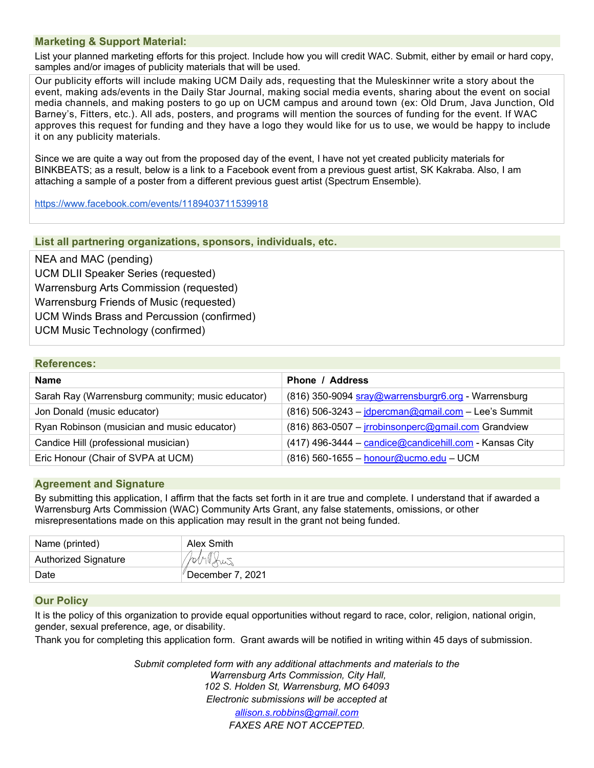#### **Marketing & Support Material:**

List your planned marketing efforts for this project. Include how you will credit WAC. Submit, either by email or hard copy, samples and/or images of publicity materials that will be used.

Our publicity efforts will include making UCM Daily ads, requesting that the Muleskinner write a story about the event, making ads/events in the Daily Star Journal, making social media events, sharing about the event on social media channels, and making posters to go up on UCM campus and around town (ex: Old Drum, Java Junction, Old Barney's, Fitters, etc.). All ads, posters, and programs will mention the sources of funding for the event. If WAC approves this request for funding and they have a logo they would like for us to use, we would be happy to include it on any publicity materials.

Since we are quite a way out from the proposed day of the event, I have not yet created publicity materials for BINKBEATS; as a result, below is a link to a Facebook event from a previous guest artist, SK Kakraba. Also, I am attaching a sample of a poster from a different previous guest artist (Spectrum Ensemble).

<https://www.facebook.com/events/1189403711539918>

#### **List all partnering organizations, sponsors, individuals, etc.**

NEA and MAC (pending) UCM DLII Speaker Series (requested) Warrensburg Arts Commission (requested) Warrensburg Friends of Music (requested) UCM Winds Brass and Percussion (confirmed) UCM Music Technology (confirmed)

#### **References:**

#### **Agreement and Signature**

By submitting this application, I affirm that the facts set forth in it are true and complete. I understand that if awarded a Warrensburg Arts Commission (WAC) Community Arts Grant, any false statements, omissions, or other misrepresentations made on this application may result in the grant not being funded.

| Name (printed)              | Alex Smith       |
|-----------------------------|------------------|
| <b>Authorized Signature</b> |                  |
| Date                        | December 7, 2021 |

#### **Our Policy**

It is the policy of this organization to provide equal opportunities without regard to race, color, religion, national origin, gender, sexual preference, age, or disability.

Thank you for completing this application form. Grant awards will be notified in writing within 45 days of submission.

*Submit completed form with any additional attachments and materials to the Warrensburg Arts Commission, City Hall, 102 S. Holden St, Warrensburg, MO 64093 Electronic submissions will be accepted at [allison.s.robbins@gmail.com](mailto:ssekelsky@warrensburgr6.org)*

*FAXES ARE NOT ACCEPTED.*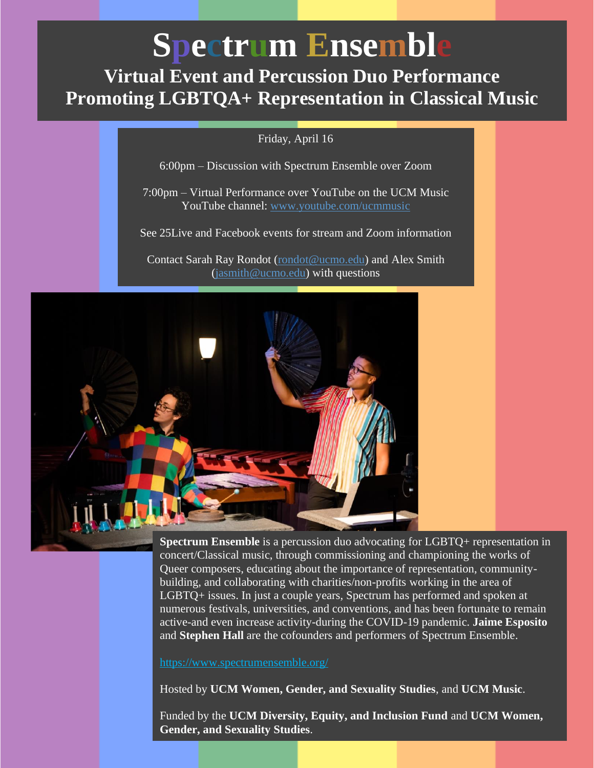# **Spectrum Ensemble**

# **Virtual Event and Percussion Duo Performance Promoting LGBTQA+ Representation in Classical Music**

Friday, April 16

6:00pm – Discussion with Spectrum Ensemble over Zoom

7:00pm – Virtual Performance over YouTube on the UCM Music YouTube channel: [www.youtube.com/ucmmusic](http://www.youtube.com/ucmmusic)

See 25Live and Facebook events for stream and Zoom information

Contact Sarah Ray Rondot [\(rondot@ucmo.edu\)](mailto:rondot@ucmo.edu) and Alex Smith [\(jasmith@ucmo.edu\)](mailto:jasmith@ucmo.edu) with questions



**Spectrum Ensemble** is a percussion duo advocating for LGBTQ+ representation in concert/Classical music, through commissioning and championing the works of Queer composers, educating about the importance of representation, communitybuilding, and collaborating with charities/non-profits working in the area of LGBTQ+ issues. In just a couple years, Spectrum has performed and spoken at numerous festivals, universities, and conventions, and has been fortunate to remain active-and even increase activity-during the COVID-19 pandemic. **Jaime Esposito** and **Stephen Hall** are the cofounders and performers of Spectrum Ensemble.

<https://www.spectrumensemble.org/>

Hosted by **UCM Women, Gender, and Sexuality Studies**, and **UCM Music**.

Funded by the **UCM Diversity, Equity, and Inclusion Fund** and **UCM Women, Gender, and Sexuality Studies**.